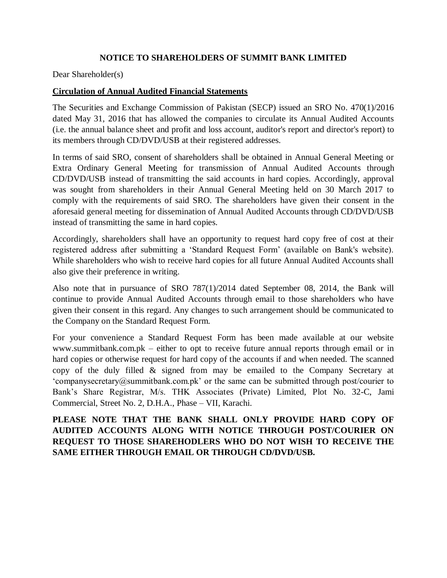## **NOTICE TO SHAREHOLDERS OF SUMMIT BANK LIMITED**

Dear Shareholder(s)

### **Circulation of Annual Audited Financial Statements**

The Securities and Exchange Commission of Pakistan (SECP) issued an SRO No. 470(1)/2016 dated May 31, 2016 that has allowed the companies to circulate its Annual Audited Accounts (i.e. the annual balance sheet and profit and loss account, auditor's report and director's report) to its members through CD/DVD/USB at their registered addresses.

In terms of said SRO, consent of shareholders shall be obtained in Annual General Meeting or Extra Ordinary General Meeting for transmission of Annual Audited Accounts through CD/DVD/USB instead of transmitting the said accounts in hard copies. Accordingly, approval was sought from shareholders in their Annual General Meeting held on 30 March 2017 to comply with the requirements of said SRO. The shareholders have given their consent in the aforesaid general meeting for dissemination of Annual Audited Accounts through CD/DVD/USB instead of transmitting the same in hard copies.

Accordingly, shareholders shall have an opportunity to request hard copy free of cost at their registered address after submitting a 'Standard Request Form' (available on Bank's website). While shareholders who wish to receive hard copies for all future Annual Audited Accounts shall also give their preference in writing.

Also note that in pursuance of SRO 787(1)/2014 dated September 08, 2014, the Bank will continue to provide Annual Audited Accounts through email to those shareholders who have given their consent in this regard. Any changes to such arrangement should be communicated to the Company on the Standard Request Form.

For your convenience a Standard Request Form has been made available at our website www.summitbank.com.pk – either to opt to receive future annual reports through email or in hard copies or otherwise request for hard copy of the accounts if and when needed. The scanned copy of the duly filled & signed from may be emailed to the Company Secretary at 'companysecretary@summitbank.com.pk' or the same can be submitted through post/courier to Bank's Share Registrar, M/s. THK Associates (Private) Limited, Plot No. 32-C, Jami Commercial, Street No. 2, D.H.A., Phase – VII, Karachi.

# **PLEASE NOTE THAT THE BANK SHALL ONLY PROVIDE HARD COPY OF AUDITED ACCOUNTS ALONG WITH NOTICE THROUGH POST/COURIER ON REQUEST TO THOSE SHAREHODLERS WHO DO NOT WISH TO RECEIVE THE SAME EITHER THROUGH EMAIL OR THROUGH CD/DVD/USB.**